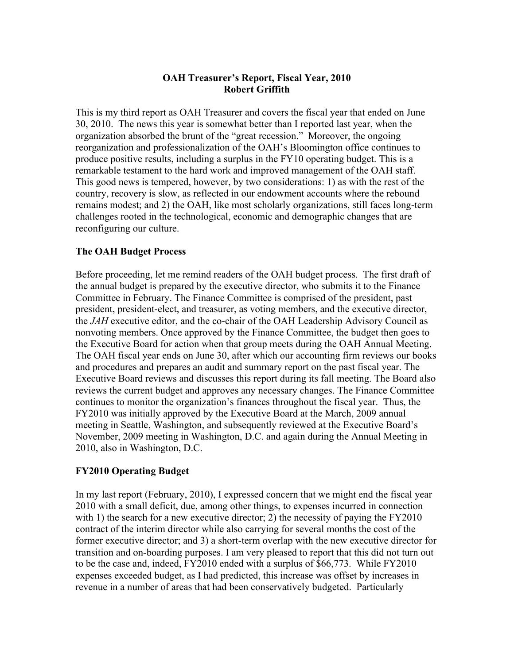# **OAH Treasurer's Report, Fiscal Year, 2010 Robert Griffith**

This is my third report as OAH Treasurer and covers the fiscal year that ended on June 30, 2010. The news this year is somewhat better than I reported last year, when the organization absorbed the brunt of the "great recession." Moreover, the ongoing reorganization and professionalization of the OAH's Bloomington office continues to produce positive results, including a surplus in the FY10 operating budget. This is a remarkable testament to the hard work and improved management of the OAH staff. This good news is tempered, however, by two considerations: 1) as with the rest of the country, recovery is slow, as reflected in our endowment accounts where the rebound remains modest; and 2) the OAH, like most scholarly organizations, still faces long-term challenges rooted in the technological, economic and demographic changes that are reconfiguring our culture.

# **The OAH Budget Process**

Before proceeding, let me remind readers of the OAH budget process. The first draft of the annual budget is prepared by the executive director, who submits it to the Finance Committee in February. The Finance Committee is comprised of the president, past president, president-elect, and treasurer, as voting members, and the executive director, the *JAH* executive editor, and the co-chair of the OAH Leadership Advisory Council as nonvoting members. Once approved by the Finance Committee, the budget then goes to the Executive Board for action when that group meets during the OAH Annual Meeting. The OAH fiscal year ends on June 30, after which our accounting firm reviews our books and procedures and prepares an audit and summary report on the past fiscal year. The Executive Board reviews and discusses this report during its fall meeting. The Board also reviews the current budget and approves any necessary changes. The Finance Committee continues to monitor the organization's finances throughout the fiscal year. Thus, the FY2010 was initially approved by the Executive Board at the March, 2009 annual meeting in Seattle, Washington, and subsequently reviewed at the Executive Board's November, 2009 meeting in Washington, D.C. and again during the Annual Meeting in 2010, also in Washington, D.C.

# **FY2010 Operating Budget**

In my last report (February, 2010), I expressed concern that we might end the fiscal year 2010 with a small deficit, due, among other things, to expenses incurred in connection with 1) the search for a new executive director; 2) the necessity of paying the FY2010 contract of the interim director while also carrying for several months the cost of the former executive director; and 3) a short-term overlap with the new executive director for transition and on-boarding purposes. I am very pleased to report that this did not turn out to be the case and, indeed, FY2010 ended with a surplus of \$66,773. While FY2010 expenses exceeded budget, as I had predicted, this increase was offset by increases in revenue in a number of areas that had been conservatively budgeted. Particularly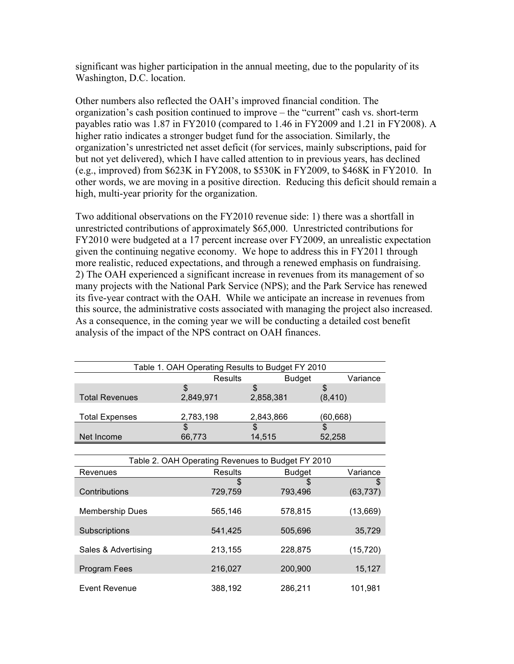significant was higher participation in the annual meeting, due to the popularity of its Washington, D.C. location.

Other numbers also reflected the OAH's improved financial condition. The organization's cash position continued to improve – the "current" cash vs. short-term payables ratio was 1.87 in FY2010 (compared to 1.46 in FY2009 and 1.21 in FY2008). A higher ratio indicates a stronger budget fund for the association. Similarly, the organization's unrestricted net asset deficit (for services, mainly subscriptions, paid for but not yet delivered), which I have called attention to in previous years, has declined (e.g., improved) from \$623K in FY2008, to \$530K in FY2009, to \$468K in FY2010. In other words, we are moving in a positive direction. Reducing this deficit should remain a high, multi-year priority for the organization.

Two additional observations on the FY2010 revenue side: 1) there was a shortfall in unrestricted contributions of approximately \$65,000. Unrestricted contributions for FY2010 were budgeted at a 17 percent increase over FY2009, an unrealistic expectation given the continuing negative economy. We hope to address this in FY2011 through more realistic, reduced expectations, and through a renewed emphasis on fundraising. 2) The OAH experienced a significant increase in revenues from its management of so many projects with the National Park Service (NPS); and the Park Service has renewed its five-year contract with the OAH. While we anticipate an increase in revenues from this source, the administrative costs associated with managing the project also increased. As a consequence, in the coming year we will be conducting a detailed cost benefit analysis of the impact of the NPS contract on OAH finances.

| Table 1. OAH Operating Results to Budget FY 2010 |           |               |          |
|--------------------------------------------------|-----------|---------------|----------|
|                                                  | Results   | <b>Budget</b> | Variance |
|                                                  | \$        |               |          |
| <b>Total Revenues</b>                            | 2,849,971 | 2,858,381     | (8, 410) |
|                                                  |           |               |          |
| <b>Total Expenses</b>                            | 2,783,198 | 2,843,866     | (60,668) |
|                                                  |           |               |          |
| Net Income                                       | 66,773    | 14,515        | 52.258   |

| Table 2. OAH Operating Revenues to Budget FY 2010 |         |               |           |
|---------------------------------------------------|---------|---------------|-----------|
| Revenues                                          | Results | <b>Budget</b> | Variance  |
|                                                   | \$      | \$            | \$        |
| Contributions                                     | 729,759 | 793,496       | (63, 737) |
|                                                   |         |               |           |
| <b>Membership Dues</b>                            | 565,146 | 578,815       | (13,669)  |
|                                                   |         |               |           |
| Subscriptions                                     | 541,425 | 505.696       | 35,729    |
|                                                   |         |               |           |
| Sales & Advertising                               | 213,155 | 228,875       | (15, 720) |
|                                                   |         |               |           |
| Program Fees                                      | 216,027 | 200,900       | 15,127    |
|                                                   |         |               |           |
| Event Revenue                                     | 388,192 | 286.211       | 101.981   |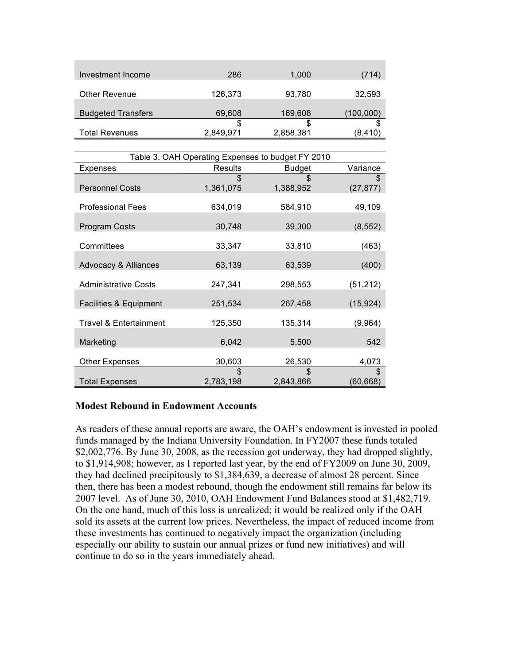| Investment Income         | 286       | 1,000     | (714)     |
|---------------------------|-----------|-----------|-----------|
| <b>Other Revenue</b>      | 126,373   | 93,780    | 32,593    |
| <b>Budgeted Transfers</b> | 69,608    | 169,608   | (100,000) |
|                           | S         | \$        |           |
| <b>Total Revenues</b>     | 2,849,971 | 2,858,381 | (8,410)   |

| Table 3. OAH Operating Expenses to budget FY 2010 |                  |               |                 |
|---------------------------------------------------|------------------|---------------|-----------------|
| Expenses                                          | <b>Results</b>   | <b>Budget</b> | Variance        |
| <b>Personnel Costs</b>                            | \$.<br>1,361,075 | 1,388,952     | (27, 877)       |
| <b>Professional Fees</b>                          | 634,019          | 584,910       | 49,109          |
| Program Costs                                     | 30,748           | 39,300        | (8, 552)        |
| Committees                                        | 33,347           | 33,810        | (463)           |
| <b>Advocacy &amp; Alliances</b>                   | 63,139           | 63,539        | (400)           |
| <b>Administrative Costs</b>                       | 247,341          | 298,553       | (51, 212)       |
| Facilities & Equipment                            | 251,534          | 267,458       | (15, 924)       |
| <b>Travel &amp; Entertainment</b>                 | 125,350          | 135,314       | (9,964)         |
| Marketing                                         | 6,042            | 5,500         | 542             |
| Other Expenses                                    | 30,603           | 26,530        | 4,073           |
| <b>Total Expenses</b>                             | 2,783,198        | 2,843,866     | S.<br>(60, 668) |

### **Modest Rebound in Endowment Accounts**

As readers of these annual reports are aware, the OAH's endowment is invested in pooled funds managed by the Indiana University Foundation. In FY2007 these funds totaled \$2,002,776. By June 30, 2008, as the recession got underway, they had dropped slightly, to \$1,914,908; however, as I reported last year, by the end of FY2009 on June 30, 2009, they had declined precipitously to \$1,384,639, a decrease of almost 28 percent. Since then, there has been a modest rebound, though the endowment still remains far below its 2007 level. As of June 30, 2010, OAH Endowment Fund Balances stood at \$1,482,719. On the one hand, much of this loss is unrealized; it would be realized only if the OAH sold its assets at the current low prices. Nevertheless, the impact of reduced income from these investments has continued to negatively impact the organization (including especially our ability to sustain our annual prizes or fund new initiatives) and will continue to do so in the years immediately ahead.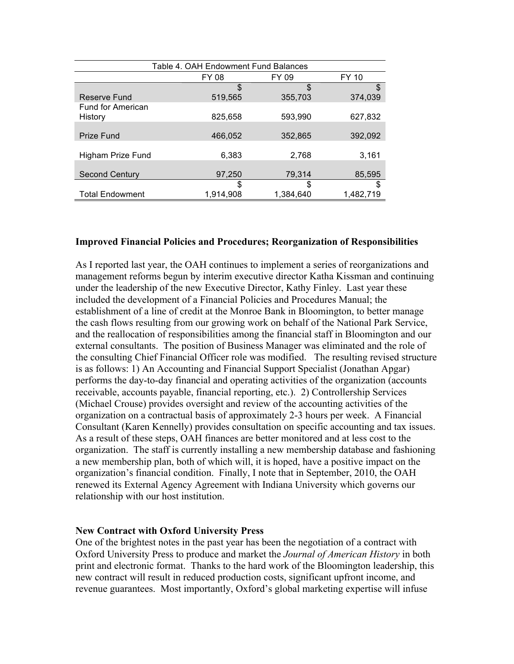| Table 4. OAH Endowment Fund Balances |           |           |           |
|--------------------------------------|-----------|-----------|-----------|
|                                      | FY 08     | FY 09     | FY 10     |
|                                      | \$        | \$        | \$        |
| Reserve Fund                         | 519,565   | 355,703   | 374.039   |
| Fund for American                    |           |           |           |
| History                              | 825.658   | 593.990   | 627.832   |
|                                      |           |           |           |
| <b>Prize Fund</b>                    | 466,052   | 352,865   | 392,092   |
|                                      |           |           |           |
| Higham Prize Fund                    | 6.383     | 2,768     | 3,161     |
|                                      |           |           |           |
| <b>Second Century</b>                | 97,250    | 79,314    | 85,595    |
|                                      | S         | \$        | \$        |
| <b>Total Endowment</b>               | 1,914,908 | 1,384,640 | 1,482,719 |

#### **Improved Financial Policies and Procedures; Reorganization of Responsibilities**

As I reported last year, the OAH continues to implement a series of reorganizations and management reforms begun by interim executive director Katha Kissman and continuing under the leadership of the new Executive Director, Kathy Finley. Last year these included the development of a Financial Policies and Procedures Manual; the establishment of a line of credit at the Monroe Bank in Bloomington, to better manage the cash flows resulting from our growing work on behalf of the National Park Service, and the reallocation of responsibilities among the financial staff in Bloomington and our external consultants. The position of Business Manager was eliminated and the role of the consulting Chief Financial Officer role was modified. The resulting revised structure is as follows: 1) An Accounting and Financial Support Specialist (Jonathan Apgar) performs the day-to-day financial and operating activities of the organization (accounts receivable, accounts payable, financial reporting, etc.). 2) Controllership Services (Michael Crouse) provides oversight and review of the accounting activities of the organization on a contractual basis of approximately 2-3 hours per week. A Financial Consultant (Karen Kennelly) provides consultation on specific accounting and tax issues. As a result of these steps, OAH finances are better monitored and at less cost to the organization. The staff is currently installing a new membership database and fashioning a new membership plan, both of which will, it is hoped, have a positive impact on the organization's financial condition. Finally, I note that in September, 2010, the OAH renewed its External Agency Agreement with Indiana University which governs our relationship with our host institution.

### **New Contract with Oxford University Press**

One of the brightest notes in the past year has been the negotiation of a contract with Oxford University Press to produce and market the *Journal of American History* in both print and electronic format. Thanks to the hard work of the Bloomington leadership, this new contract will result in reduced production costs, significant upfront income, and revenue guarantees. Most importantly, Oxford's global marketing expertise will infuse